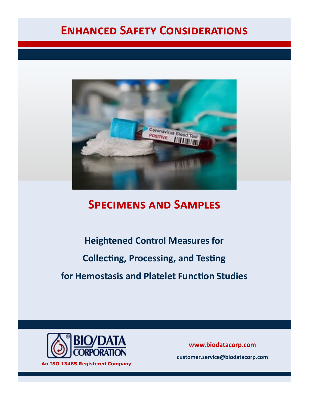# **Enhanced Safety Considerations**



# **Specimens and Samples**

**Heightened Control Measures for Collecting, Processing, and Testing for Hemostasis and Platelet Function Studies**



**An ISO 13485 Registered Company**

**www.biodatacorp.com** 

**customer.service@biodatacorp.com**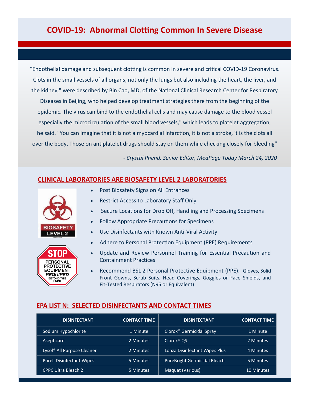"Endothelial damage and subsequent clotting is common in severe and critical COVID-19 Coronavirus. Clots in the small vessels of all organs, not only the lungs but also including the heart, the liver, and the kidney," were described by Bin Cao, MD, of the National Clinical Research Center for Respiratory Diseases in Beijing, who helped develop treatment strategies there from the beginning of the epidemic. The virus can bind to the endothelial cells and may cause damage to the blood vessel especially the microcirculation of the small blood vessels," which leads to platelet aggregation, he said. "You can imagine that it is not a myocardial infarction, it is not a stroke, it is the clots all over the body. Those on antiplatelet drugs should stay on them while checking closely for bleeding"

*- Crystal Phend, Senior Editor, MedPage Today March 24, 2020*

## **CLINICAL LABORATORIES ARE BIOSAFETY LEVEL 2 LABORATORIES**





- Post Biosafety Signs on All Entrances
- Restrict Access to Laboratory Staff Only
- Secure Locations for Drop Off, Handling and Processing Specimens
- Follow Appropriate Precautions for Specimens
- Use Disinfectants with Known Anti-Viral Activity
- Adhere to Personal Protection Equipment (PPE) Requirements
- Update and Review Personnel Training for Essential Precaution and Containment Practices
- Recommend BSL 2 Personal Protective Equipment (PPE): Gloves, Solid Front Gowns, Scrub Suits, Head Coverings, Goggles or Face Shields, and Fit-Tested Respirators (N95 or Equivalent)

## **EPA LIST N: SELECTED DISINFECTANTS AND CONTACT TIMES**

| <b>DISINFECTANT</b>                    | <b>CONTACT TIME</b> | <b>DISINFECTANT</b>                  | <b>CONTACT TIME</b> |
|----------------------------------------|---------------------|--------------------------------------|---------------------|
| Sodium Hypochlorite                    | 1 Minute            | Clorox <sup>®</sup> Germicidal Spray | 1 Minute            |
| Asepticare                             | 2 Minutes           | Clorox <sup>®</sup> QS               | 2 Minutes           |
| Lysol <sup>®</sup> All Purpose Cleaner | 2 Minutes           | Lonza Disinfectant Wipes Plus        | 4 Minutes           |
| <b>Purell Disinfectant Wipes</b>       | 5 Minutes           | <b>PureBright Germicidal Bleach</b>  | 5 Minutes           |
| <b>CPPC Ultra Bleach 2</b>             | 5 Minutes           | Maguat (Various)                     | <b>10 Minutes</b>   |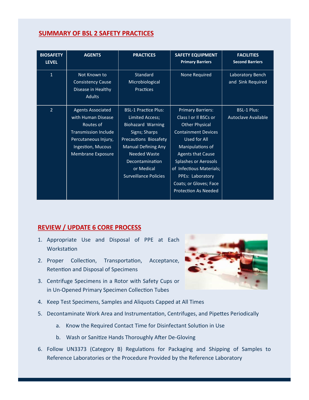# **SUMMARY OF BSL 2 SAFETY PRACTICES**

| <b>BIOSAFETY</b><br><b>LEVEL</b> | <b>AGENTS</b>                                                                                                                                                | <b>PRACTICES</b>                                                                                                                                                                                                                           | <b>SAFETY EQUIPMENT</b><br><b>Primary Barriers</b>                                                                                                                                                                                                                                                               | <b>FACILITIES</b><br><b>Second Barriers</b>      |
|----------------------------------|--------------------------------------------------------------------------------------------------------------------------------------------------------------|--------------------------------------------------------------------------------------------------------------------------------------------------------------------------------------------------------------------------------------------|------------------------------------------------------------------------------------------------------------------------------------------------------------------------------------------------------------------------------------------------------------------------------------------------------------------|--------------------------------------------------|
| $\mathbf{1}$                     | Not Known to<br><b>Consistency Cause</b><br>Disease in Healthy<br><b>Adults</b>                                                                              | Standard<br>Microbiological<br><b>Practices</b>                                                                                                                                                                                            | None Required                                                                                                                                                                                                                                                                                                    | Laboratory Bench<br>and Sink Required            |
| $\overline{2}$                   | <b>Agents Associated</b><br>with Human Disease<br>Routes of<br><b>Transmission Include</b><br>Percutaneous Injury,<br>Ingestion, Mucous<br>Membrane Exposure | <b>BSL-1 Practice Plus:</b><br>Limited Access;<br><b>Biohazard Warning</b><br>Signs; Sharps<br>Precautions Biosafety<br><b>Manual Defining Any</b><br><b>Needed Waste</b><br>Decontamination<br>or Medical<br><b>Surveillance Policies</b> | <b>Primary Barriers:</b><br>Class I or Il BSCs or<br><b>Other Physical</b><br><b>Containment Devices</b><br>Used for All<br>Manipulations of<br><b>Agents that Cause</b><br><b>Splashes or Aerosols</b><br>of Infectious Materials;<br>PPEs: Laboratory<br>Coats; or Gloves; Face<br><b>Protection As Needed</b> | <b>BSL-1 Plus:</b><br><b>Autoclave Available</b> |

# **REVIEW / UPDATE 6 CORE PROCESS**

- 1. Appropriate Use and Disposal of PPE at Each **Workstation**
- 2. Proper Collection, Transportation, Acceptance, Retention and Disposal of Specimens
- 3. Centrifuge Specimens in a Rotor with Safety Cups or in Un-Opened Primary Specimen Collection Tubes
- 4. Keep Test Specimens, Samples and Aliquots Capped at All Times
- 5. Decontaminate Work Area and Instrumentation, Centrifuges, and Pipettes Periodically
	- a. Know the Required Contact Time for Disinfectant Solution in Use
	- b. Wash or Sanitize Hands Thoroughly After De-Gloving
- 6. Follow UN3373 (Category B) Regulations for Packaging and Shipping of Samples to Reference Laboratories or the Procedure Provided by the Reference Laboratory

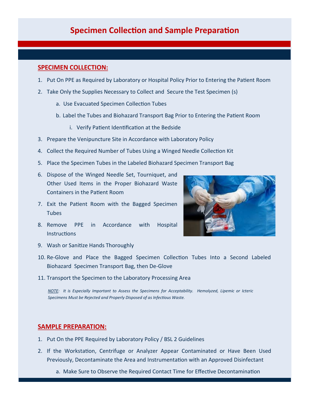# **Specimen Collection and Sample Preparation**

### **SPECIMEN COLLECTION:**

- 1. Put On PPE as Required by Laboratory or Hospital Policy Prior to Entering the Patient Room
- 2. Take Only the Supplies Necessary to Collect and Secure the Test Specimen (s)
	- a. Use Evacuated Specimen Collection Tubes
	- b. Label the Tubes and Biohazard Transport Bag Prior to Entering the Patient Room
		- i. Verify Patient Identification at the Bedside
- 3. Prepare the Venipuncture Site in Accordance with Laboratory Policy
- 4. Collect the Required Number of Tubes Using a Winged Needle Collection Kit
- 5. Place the Specimen Tubes in the Labeled Biohazard Specimen Transport Bag
- 6. Dispose of the Winged Needle Set, Tourniquet, and Other Used Items in the Proper Biohazard Waste Containers in the Patient Room
- 7. Exit the Patient Room with the Bagged Specimen **Tubes**
- 8. Remove PPE in Accordance with Hospital **Instructions**



- 9. Wash or Sanitize Hands Thoroughly
- 10. Re-Glove and Place the Bagged Specimen Collection Tubes Into a Second Labeled Biohazard Specimen Transport Bag, then De-Glove
- 11. Transport the Specimen to the Laboratory Processing Area

*NOTE: It is Especially Important to Assess the Specimens for Acceptability. Hemolyzed, Lipemic or Icteric Specimens Must be Rejected and Properly Disposed of as Infectious Waste.* 

#### **SAMPLE PREPARATION:**

- 1. Put On the PPE Required by Laboratory Policy / BSL 2 Guidelines
- 2. If the Workstation, Centrifuge or Analyzer Appear Contaminated or Have Been Used Previously, Decontaminate the Area and Instrumentation with an Approved Disinfectant

a. Make Sure to Observe the Required Contact Time for Effective Decontamination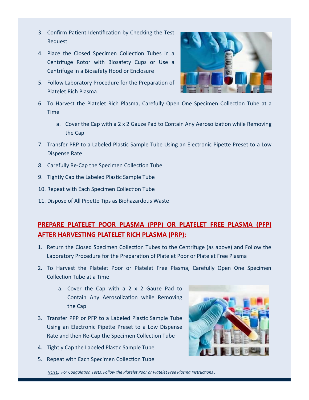- 3. Confirm Patient Identification by Checking the Test Request
- 4. Place the Closed Specimen Collection Tubes in a Centrifuge Rotor with Biosafety Cups or Use a Centrifuge in a Biosafety Hood or Enclosure
- 5. Follow Laboratory Procedure for the Preparation of Platelet Rich Plasma



- 6. To Harvest the Platelet Rich Plasma, Carefully Open One Specimen Collection Tube at a Time
	- a. Cover the Cap with a 2 x 2 Gauze Pad to Contain Any Aerosolization while Removing the Cap
- 7. Transfer PRP to a Labeled Plastic Sample Tube Using an Electronic Pipette Preset to a Low Dispense Rate
- 8. Carefully Re-Cap the Specimen Collection Tube
- 9. Tightly Cap the Labeled Plastic Sample Tube
- 10. Repeat with Each Specimen Collection Tube
- 11. Dispose of All Pipette Tips as Biohazardous Waste

# **PREPARE PLATELET POOR PLASMA (PPP) OR PLATELET FREE PLASMA (PFP) AFTER HARVESTING PLATELET RICH PLASMA (PRP):**

- 1. Return the Closed Specimen Collection Tubes to the Centrifuge (as above) and Follow the Laboratory Procedure for the Preparation of Platelet Poor or Platelet Free Plasma
- 2. To Harvest the Platelet Poor or Platelet Free Plasma, Carefully Open One Specimen Collection Tube at a Time
	- a. Cover the Cap with a 2 x 2 Gauze Pad to Contain Any Aerosolization while Removing the Cap
- 3. Transfer PPP or PFP to a Labeled Plastic Sample Tube Using an Electronic Pipette Preset to a Low Dispense Rate and then Re-Cap the Specimen Collection Tube
- 4. Tightly Cap the Labeled Plastic Sample Tube
- 5. Repeat with Each Specimen Collection Tube



*NOTE: For Coagulation Tests, Follow the Platelet Poor or Platelet Free Plasma Instructions .*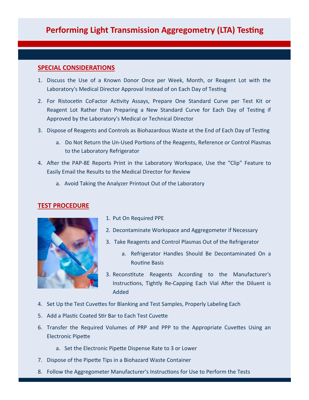# **Performing Light Transmission Aggregometry (LTA) Testing**

## **SPECIAL CONSIDERATIONS**

- 1. Discuss the Use of a Known Donor Once per Week, Month, or Reagent Lot with the Laboratory's Medical Director Approval Instead of on Each Day of Testing
- 2. For Ristocetin CoFactor Activity Assays, Prepare One Standard Curve per Test Kit or Reagent Lot Rather than Preparing a New Standard Curve for Each Day of Testing if Approved by the Laboratory's Medical or Technical Director
- 3. Dispose of Reagents and Controls as Biohazardous Waste at the End of Each Day of Testing
	- a. Do Not Return the Un-Used Portions of the Reagents, Reference or Control Plasmas to the Laboratory Refrigerator
- 4. After the PAP-8E Reports Print in the Laboratory Workspace, Use the "Clip" Feature to Easily Email the Results to the Medical Director for Review
	- a. Avoid Taking the Analyzer Printout Out of the Laboratory

## **TEST PROCEDURE**



- 1. Put On Required PPE
- 2. Decontaminate Workspace and Aggregometer if Necessary
- 3. Take Reagents and Control Plasmas Out of the Refrigerator
	- a. Refrigerator Handles Should Be Decontaminated On a Routine Basis
- 3. Reconstitute Reagents According to the Manufacturer's Instructions, Tightly Re-Capping Each Vial After the Diluent is Added
- 4. Set Up the Test Cuvettes for Blanking and Test Samples, Properly Labeling Each
- 5. Add a Plastic Coated Stir Bar to Each Test Cuvette
- 6. Transfer the Required Volumes of PRP and PPP to the Appropriate Cuvettes Using an Electronic Pipette
	- a. Set the Electronic Pipette Dispense Rate to 3 or Lower
- 7. Dispose of the Pipette Tips in a Biohazard Waste Container
- 8. Follow the Aggregometer Manufacturer's Instructions for Use to Perform the Tests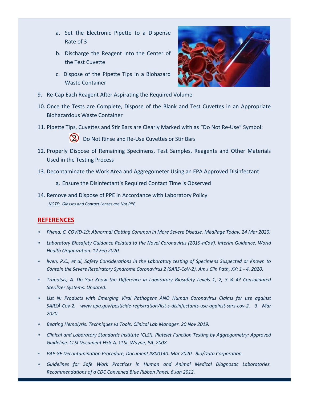- a. Set the Electronic Pipette to a Dispense Rate of 3
- b. Discharge the Reagent Into the Center of the Test Cuvette
- c. Dispose of the Pipette Tips in a Biohazard Waste Container



- 9. Re-Cap Each Reagent After Aspirating the Required Volume
- 10. Once the Tests are Complete, Dispose of the Blank and Test Cuvettes in an Appropriate Biohazardous Waste Container
- 11. Pipette Tips, Cuvettes and Stir Bars are Clearly Marked with as "Do Not Re-Use" Symbol:



( $\lambda$ ) Do Not Rinse and Re-Use Cuvettes or Stir Bars

- 12. Properly Dispose of Remaining Specimens, Test Samples, Reagents and Other Materials Used in the Testing Process
- 13. Decontaminate the Work Area and Aggregometer Using an EPA Approved Disinfectant
	- a. Ensure the Disinfectant's Required Contact Time is Observed
- 14. Remove and Dispose of PPE in Accordance with Laboratory Policy *NOTE: Glasses and Contact Lenses are Not PPE*

# **REFERENCES**

- *Phend, C. COVID-19: Abnormal Clotting Common in More Severe Disease. MedPage Today. 24 Mar 2020.*
- *Laboratory Biosafety Guidance Related to the Novel Coronavirus (2019-nCoV). Interim Guidance. World Health Organization. 12 Feb 2020.*
- *lwen, P.C., et al, Safety Considerations in the Laboratory testing of Specimens Suspected or Known to Contain the Severe Respiratory Syndrome Coronavirus 2 (SARS-CoV-2). Am J Clin Path, XX: 1 - 4. 2020.*
- *Trapotsis, A. Do You Know the Difference in Laboratory Biosafety Levels 1, 2, 3 & 4? Consolidated Sterilizer Systems. Undated.*
- *List N: Products with Emerging Viral Pathogens ANO Human Coronavirus Claims for use against*  SARSÂ-Cov-2. www.epa.gov/pesticide-registration/list-s-disinfectants-use-against-sars-cov-2. 3 Mar *2020.*
- *Beating Hemolysis: Techniques vs Tools. Clinical Lab Manager. 20 Nov 2019.*
- *Clinical and Laboratory Standards Institute (CLSI). Platelet Function Testing by Aggregometry; Approved Guideline. CLSI Document H58-A. CLSI. Wayne, PA. 2008.*
- *PAP-8E Decontamination Procedure, Document #800140. Mar 2020. Bio/Data Corporation.*
- *Guidelines for Safe Work Practices in Human and Animal Medical Diagnostic Laboratories. Recommendations of a CDC Convened Blue Ribbon Panel, 6 Jan 2012.*